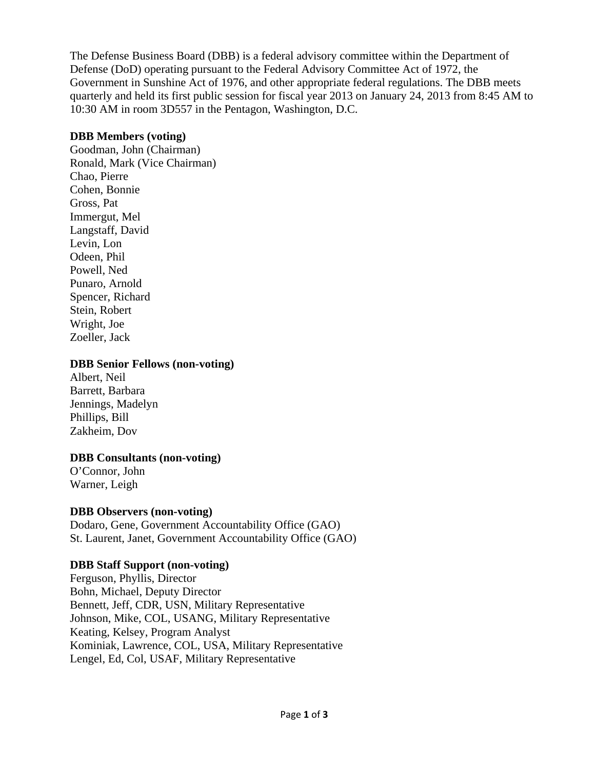The Defense Business Board (DBB) is a federal advisory committee within the Department of Defense (DoD) operating pursuant to the Federal Advisory Committee Act of 1972, the Government in Sunshine Act of 1976, and other appropriate federal regulations. The DBB meets quarterly and held its first public session for fiscal year 2013 on January 24, 2013 from 8:45 AM to 10:30 AM in room 3D557 in the Pentagon, Washington, D.C.

## **DBB Members (voting)**

Goodman, John (Chairman) Ronald, Mark (Vice Chairman) Chao, Pierre Cohen, Bonnie Gross, Pat Immergut, Mel Langstaff, David Levin, Lon Odeen, Phil Powell, Ned Punaro, Arnold Spencer, Richard Stein, Robert Wright, Joe Zoeller, Jack

### **DBB Senior Fellows (non-voting)**

Albert, Neil Barrett, Barbara Jennings, Madelyn Phillips, Bill Zakheim, Dov

## **DBB Consultants (non-voting)**

O'Connor, John Warner, Leigh

## **DBB Observers (non-voting)**

Dodaro, Gene, Government Accountability Office (GAO) St. Laurent, Janet, Government Accountability Office (GAO)

## **DBB Staff Support (non-voting)**

Ferguson, Phyllis, Director Bohn, Michael, Deputy Director Bennett, Jeff, CDR, USN, Military Representative Johnson, Mike, COL, USANG, Military Representative Keating, Kelsey, Program Analyst Kominiak, Lawrence, COL, USA, Military Representative Lengel, Ed, Col, USAF, Military Representative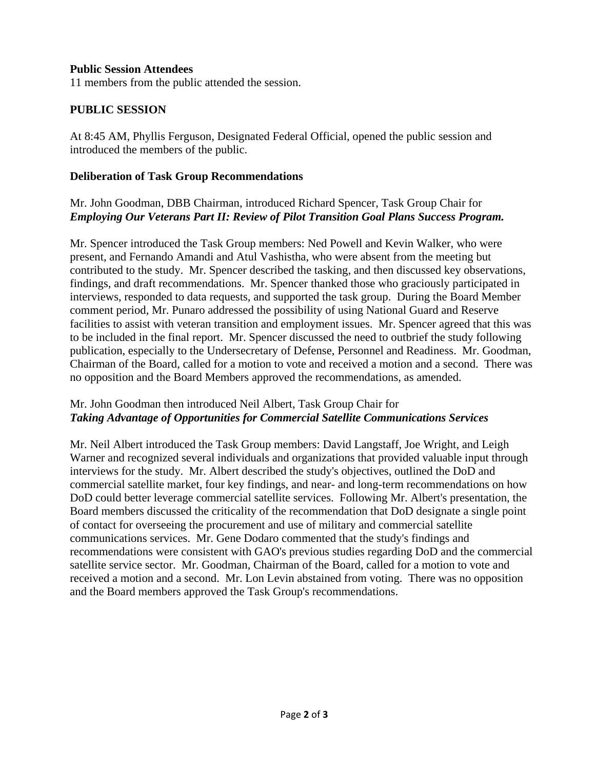### **Public Session Attendees**

11 members from the public attended the session.

## **PUBLIC SESSION**

At 8:45 AM, Phyllis Ferguson, Designated Federal Official, opened the public session and introduced the members of the public.

### **Deliberation of Task Group Recommendations**

## Mr. John Goodman, DBB Chairman, introduced Richard Spencer, Task Group Chair for *Employing Our Veterans Part II: Review of Pilot Transition Goal Plans Success Program.*

Mr. Spencer introduced the Task Group members: Ned Powell and Kevin Walker, who were present, and Fernando Amandi and Atul Vashistha, who were absent from the meeting but contributed to the study. Mr. Spencer described the tasking, and then discussed key observations, findings, and draft recommendations. Mr. Spencer thanked those who graciously participated in interviews, responded to data requests, and supported the task group. During the Board Member comment period, Mr. Punaro addressed the possibility of using National Guard and Reserve facilities to assist with veteran transition and employment issues. Mr. Spencer agreed that this was to be included in the final report. Mr. Spencer discussed the need to outbrief the study following publication, especially to the Undersecretary of Defense, Personnel and Readiness. Mr. Goodman, Chairman of the Board, called for a motion to vote and received a motion and a second. There was no opposition and the Board Members approved the recommendations, as amended.

## Mr. John Goodman then introduced Neil Albert, Task Group Chair for *Taking Advantage of Opportunities for Commercial Satellite Communications Services*

Mr. Neil Albert introduced the Task Group members: David Langstaff, Joe Wright, and Leigh Warner and recognized several individuals and organizations that provided valuable input through interviews for the study. Mr. Albert described the study's objectives, outlined the DoD and commercial satellite market, four key findings, and near- and long-term recommendations on how DoD could better leverage commercial satellite services. Following Mr. Albert's presentation, the Board members discussed the criticality of the recommendation that DoD designate a single point of contact for overseeing the procurement and use of military and commercial satellite communications services. Mr. Gene Dodaro commented that the study's findings and recommendations were consistent with GAO's previous studies regarding DoD and the commercial satellite service sector. Mr. Goodman, Chairman of the Board, called for a motion to vote and received a motion and a second. Mr. Lon Levin abstained from voting. There was no opposition and the Board members approved the Task Group's recommendations.